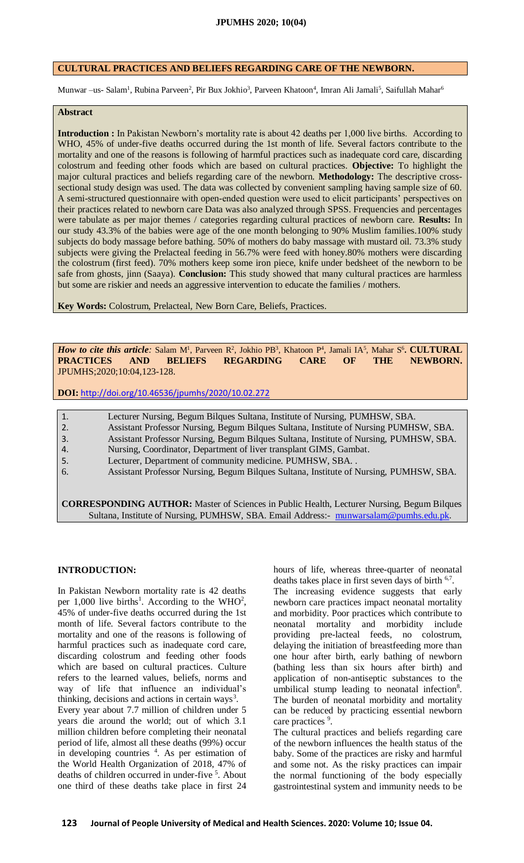### **CULTURAL PRACTICES AND BELIEFS REGARDING CARE OF THE NEWBORN.**

Munwar –us- Salam<sup>1</sup>, Rubina Parveen<sup>2</sup>, Pir Bux Jokhio<sup>3</sup>, Parveen Khatoon<sup>4</sup>, Imran Ali Jamali<sup>5</sup>, Saifullah Mahar<sup>6</sup>

#### **Abstract**

**Introduction :** In Pakistan Newborn's mortality rate is about 42 deaths per 1,000 live births. According to WHO, 45% of under-five deaths occurred during the 1st month of life. Several factors contribute to the mortality and one of the reasons is following of harmful practices such as inadequate cord care, discarding colostrum and feeding other foods which are based on cultural practices. **Objective:** To highlight the major cultural practices and beliefs regarding care of the newborn. **Methodology:** The descriptive crosssectional study design was used. The data was collected by convenient sampling having sample size of 60. A semi-structured questionnaire with open-ended question were used to elicit participants' perspectives on their practices related to newborn care Data was also analyzed through SPSS. Frequencies and percentages were tabulate as per major themes / categories regarding cultural practices of newborn care. **Results:** In our study 43.3% of the babies were age of the one month belonging to 90% Muslim families.100% study subjects do body massage before bathing. 50% of mothers do baby massage with mustard oil. 73.3% study subjects were giving the Prelacteal feeding in 56.7% were feed with honey.80% mothers were discarding the colostrum (first feed). 70% mothers keep some iron piece, knife under bedsheet of the newborn to be safe from ghosts, jinn (Saaya). **Conclusion:** This study showed that many cultural practices are harmless but some are riskier and needs an aggressive intervention to educate the families / mothers.

**Key Words:** Colostrum, Prelacteal, New Born Care, Beliefs, Practices.

*How to cite this article:* Salam M<sup>1</sup>, Parveen R<sup>2</sup>, Jokhio PB<sup>3</sup>, Khatoon P<sup>4</sup>, Jamali IA<sup>5</sup>, Mahar S<sup>6</sup>. CULTURAL **PRACTICES AND BELIEFS REGARDING CARE OF THE NEWBORN.** JPUMHS;2020;10:04,123-128.

**DOI:** <http://doi.org/10.46536/jpumhs/2020/10.02.272>

- 1. Lecturer Nursing, Begum Bilques Sultana, Institute of Nursing, PUMHSW, SBA.
- 2. Assistant Professor Nursing, Begum Bilques Sultana, Institute of Nursing PUMHSW, SBA.
- 3. Assistant Professor Nursing, Begum Bilques Sultana, Institute of Nursing, PUMHSW, SBA.
- 4. Nursing, Coordinator, Department of liver transplant GIMS, Gambat.
- 5. Lecturer, Department of community medicine. PUMHSW, SBA. .
- 6. Assistant Professor Nursing, Begum Bilques Sultana, Institute of Nursing, PUMHSW, SBA.

**CORRESPONDING AUTHOR:** Master of Sciences in Public Health, Lecturer Nursing, Begum Bilques Sultana, Institute of Nursing, PUMHSW, SBA. Email Address:- [munwarsalam@pumhs.edu.pk](mailto:munwarsalam@pumhs.edu.pk)

#### **INTRODUCTION:**

In Pakistan Newborn mortality rate is 42 deaths per 1,000 live births<sup>1</sup>. According to the WHO<sup>2</sup>, 45% of under-five deaths occurred during the 1st month of life. Several factors contribute to the mortality and one of the reasons is following of harmful practices such as inadequate cord care, discarding colostrum and feeding other foods which are based on cultural practices. Culture refers to the learned values, beliefs, norms and way of life that influence an individual's thinking, decisions and actions in certain ways<sup>3</sup>. Every year about 7.7 million of children under 5 years die around the world; out of which 3.1 million children before completing their neonatal period of life, almost all these deaths (99%) occur in developing countries  $4$ . As per estimation of the World Health Organization of 2018, 47% of deaths of children occurred in under-five <sup>5</sup>. About one third of these deaths take place in first 24

hours of life, whereas three-quarter of neonatal deaths takes place in first seven days of birth  $6.7$ .

The increasing evidence suggests that early newborn care practices impact neonatal mortality and morbidity. Poor practices which contribute to neonatal mortality and morbidity include providing pre-lacteal feeds, no colostrum, delaying the initiation of breastfeeding more than one hour after birth, early bathing of newborn (bathing less than six hours after birth) and application of non-antiseptic substances to the umbilical stump leading to neonatal infection<sup>8</sup>. The burden of neonatal morbidity and mortality can be reduced by practicing essential newborn care practices <sup>9</sup>.

The cultural practices and beliefs regarding care of the newborn influences the health status of the baby. Some of the practices are risky and harmful and some not. As the risky practices can impair the normal functioning of the body especially gastrointestinal system and immunity needs to be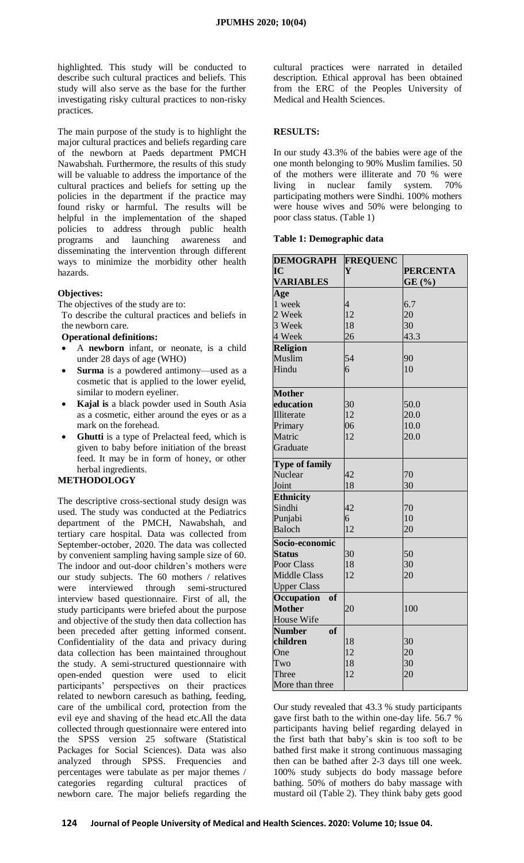highlighted. This study will be conducted to describe such cultural practices and beliefs. This study will also serve as the base for the further investigating risky cultural practices to non-risky practices.

The main purpose of the study is to highlight the major cultural practices and beliefs regarding care of the newborn at Paeds department PMCH Nawabshah. Furthermore, the results of this study will be valuable to address the importance of the cultural practices and beliefs for setting up the policies in the department if the practice may found risky or harmful. The results will be helpful in the implementation of the shaped policies to address through public health programs and launching awareness and disseminating the intervention through different ways to minimize the morbidity other health hazards.

## **Objectives:**

The objectives of the study are to:

To describe the cultural practices and beliefs in the newborn care.

**Operational definitions:**

- A **newborn** infant, or neonate, is a child under 28 days of age (WHO)
- **Surma** is a powdered antimony—used as a cosmetic that is applied to the lower eyelid, similar to modern eyeliner.
- **Kajal is** a black powder used in South Asia as a cosmetic, either around the eyes or as a mark on the forehead.
- **Ghutti** is a type of Prelacteal feed, which is given to baby before initiation of the breast feed. It may be in form of honey, or other herbal ingredients.

# **METHODOLOGY**

The descriptive cross-sectional study design was used. The study was conducted at the Pediatrics department of the PMCH, Nawabshah, and tertiary care hospital. Data was collected from September-october, 2020. The data was collected by convenient sampling having sample size of 60. The indoor and out-door children's mothers were our study subjects. The 60 mothers / relatives were interviewed through semi-structured interview based questionnaire. First of all, the study participants were briefed about the purpose and objective of the study then data collection has been preceded after getting informed consent. Confidentiality of the data and privacy during data collection has been maintained throughout the study. A semi-structured questionnaire with open-ended question were used to elicit participants' perspectives on their practices related to newborn caresuch as bathing, feeding, care of the umbilical cord, protection from the evil eye and shaving of the head etc.All the data collected through questionnaire were entered into the SPSS version 25 software (Statistical Packages for Social Sciences). Data was also analyzed through SPSS. Frequencies and percentages were tabulate as per major themes / categories regarding cultural practices of newborn care. The major beliefs regarding the

cultural practices were narrated in detailed description. Ethical approval has been obtained from the ERC of the Peoples University of Medical and Health Sciences.

# **RESULTS:**

In our study 43.3% of the babies were age of the one month belonging to 90% Muslim families. 50 of the mothers were illiterate and 70 % were living in nuclear family system. 70% participating mothers were Sindhi. 100% mothers were house wives and 50% were belonging to poor class status. (Table 1)

### **Table 1: Demographic data**

| <b>DEMOGRAPH</b>      | <b>FREQUENC</b> |                 |
|-----------------------|-----------------|-----------------|
| IC                    | Y               | <b>PERCENTA</b> |
| <b>VARIABLES</b>      |                 | GE(%)           |
| Age                   |                 |                 |
| 1 week                | $\overline{4}$  | 6.7             |
| 2 Week                | 12              | 20              |
| 3 Week                | 18              | 30              |
| 4 Week                | 26              | 43.3            |
| <b>Religion</b>       |                 |                 |
| Muslim                | 54              | 90              |
| Hindu                 | 6               | 10              |
|                       |                 |                 |
| <b>Mother</b>         |                 |                 |
| education             | 30              | 50.0            |
| Illiterate            | 12              | 20.0            |
| Primary               | 06              | 10.0            |
| Matric                | 12              | 20.0            |
| Graduate              |                 |                 |
| <b>Type of family</b> |                 |                 |
| Nuclear               | 42              | 70              |
| Joint                 | 18              | 30              |
| <b>Ethnicity</b>      |                 |                 |
| Sindhi                | 42              | 70              |
| Punjabi               | 6               | 10              |
| Baloch                | 12              | 20              |
| Socio-economic        |                 |                 |
| <b>Status</b>         | 30              | 50              |
| Poor Class            | 18              | 30              |
| <b>Middle Class</b>   | 12              | 20              |
| <b>Upper Class</b>    |                 |                 |
| of<br>Occupation      |                 |                 |
| <b>Mother</b>         | 20              | 100             |
| House Wife            |                 |                 |
| of<br><b>Number</b>   |                 |                 |
| children              | 18              | 30              |
| One                   | 12              | 20              |
| Two                   | 18              | 30              |
| Three                 | 12              | 20              |
| More than three       |                 |                 |

Our study revealed that 43.3 % study participants gave first bath to the within one-day life. 56.7 % participants having belief regarding delayed in the first bath that baby's skin is too soft to be bathed first make it strong continuous massaging then can be bathed after 2-3 days till one week. 100% study subjects do body massage before bathing. 50% of mothers do baby massage with mustard oil (Table 2). They think baby gets good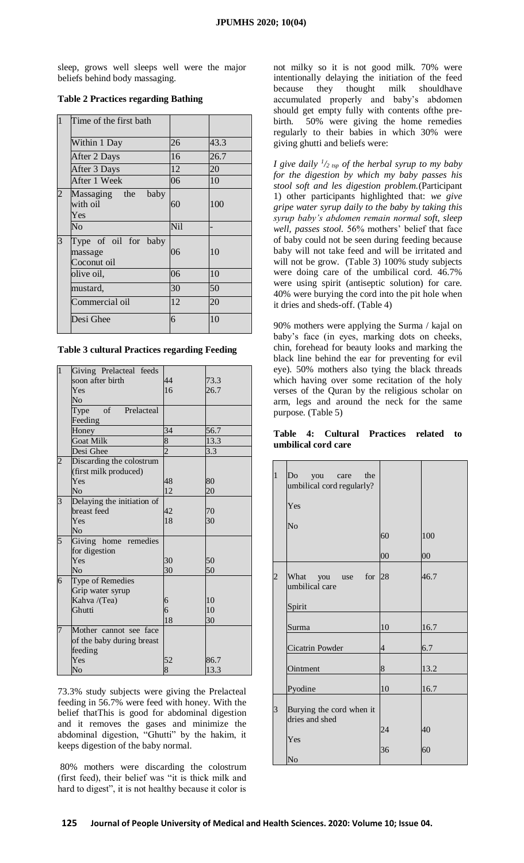sleep, grows well sleeps well were the major beliefs behind body massaging.

# **Table 2 Practices regarding Bathing**

| $\mathbf{1}$   | Time of the first bath                         |            |      |
|----------------|------------------------------------------------|------------|------|
|                | Within 1 Day                                   | 26         | 43.3 |
|                | After 2 Days                                   | 16         | 26.7 |
|                | After 3 Days                                   | 12         | 20   |
|                | After 1 Week                                   | 06         | 10   |
| $\overline{2}$ | Massaging the<br>baby<br>with oil<br>Yes       | 60         | 100  |
|                | No                                             | <b>Nil</b> |      |
| 3              | Type of oil for baby<br>massage<br>Coconut oil | 06         | 10   |
|                | olive oil,                                     | 06         | 10   |
|                | mustard,                                       | 30         | 50   |
|                | Commercial oil                                 | 12         | 20   |
|                | Desi Ghee                                      | 6          | 10   |

| <b>Table 3 cultural Practices regarding Feeding</b> |  |
|-----------------------------------------------------|--|
|-----------------------------------------------------|--|

| $\mathbf{1}$   | Giving Prelacteal feeds    |                |      |
|----------------|----------------------------|----------------|------|
|                | soon after birth           | 44             | 73.3 |
|                | Yes                        | 16             | 26.7 |
|                | $\overline{\text{No}}$     |                |      |
|                | of Prelacteal<br>Type      |                |      |
|                | Feeding                    |                |      |
|                | Honey                      | 34             | 56.7 |
|                | <b>Goat Milk</b>           | $\overline{8}$ | 13.3 |
|                | Desi Ghee                  | $\overline{2}$ | 3.3  |
| $\overline{c}$ | Discarding the colostrum   |                |      |
|                | (first milk produced)      |                |      |
|                | Yes                        | 48             | 80   |
|                | N <sub>0</sub>             | 12             | 20   |
| 3              | Delaying the initiation of |                |      |
|                | breast feed                | 42             | 70   |
|                | Yes                        | 18             | 30   |
|                | N <sub>0</sub>             |                |      |
| 5              | Giving home remedies       |                |      |
|                | for digestion              |                |      |
|                | Yes                        | 30             | 50   |
|                | No                         | 30             | 50   |
| 6              | Type of Remedies           |                |      |
|                | Grip water syrup           |                |      |
|                | Kahva /(Tea)               | 6              | 10   |
|                | Ghutti                     | 6              | 10   |
|                |                            | 18             | 30   |
| 7              | Mother cannot see face     |                |      |
|                | of the baby during breast  |                |      |
|                | feeding                    |                |      |
|                | Yes                        | 52             | 86.7 |
|                | No                         | 8              | 13.3 |

73.3% study subjects were giving the Prelacteal feeding in 56.7% were feed with honey. With the belief thatThis is good for abdominal digestion and it removes the gases and minimize the abdominal digestion, "Ghutti" by the hakim, it keeps digestion of the baby normal.

80% mothers were discarding the colostrum (first feed), their belief was "it is thick milk and hard to digest", it is not healthy because it color is

not milky so it is not good milk. 70% were intentionally delaying the initiation of the feed because they thought milk shouldhave accumulated properly and baby's abdomen should get empty fully with contents ofthe prebirth. 50% were giving the home remedies regularly to their babies in which 30% were giving ghutti and beliefs were:

*I give daily <sup>1</sup> /2 tsp of the herbal syrup to my baby for the digestion by which my baby passes his stool soft and les digestion problem.*(Participant 1) other participants highlighted that: *we give gripe water syrup daily to the baby by taking this syrup baby's abdomen remain normal soft, sleep well, passes stool.* 56% mothers' belief that face of baby could not be seen during feeding because baby will not take feed and will be irritated and will not be grow. (Table 3) 100% study subjects were doing care of the umbilical cord. 46.7% were using spirit (antiseptic solution) for care. 40% were burying the cord into the pit hole when it dries and sheds-off. (Table 4)

90% mothers were applying the Surma / kajal on baby's face (in eyes, marking dots on cheeks, chin, forehead for beauty looks and marking the black line behind the ear for preventing for evil eye). 50% mothers also tying the black threads which having over some recitation of the holy verses of the Quran by the religious scholar on arm, legs and around the neck for the same purpose. (Table 5)

**Table 4: Cultural Practices related to umbilical cord care**

| $\mathbf{1}$   | Do<br>you<br>the<br>care<br>umbilical cord regularly?<br>Yes |                          |        |
|----------------|--------------------------------------------------------------|--------------------------|--------|
|                |                                                              |                          |        |
|                | No                                                           |                          |        |
|                |                                                              | 60                       | 100    |
|                |                                                              | 00                       | $00\,$ |
| $\overline{c}$ | What<br>for<br>you use<br>umbilical care                     | 28                       | 46.7   |
|                | Spirit                                                       |                          |        |
|                | Surma                                                        | 10                       | 16.7   |
|                | Cicatrin Powder                                              | $\overline{\mathcal{L}}$ | 6.7    |
|                | Ointment                                                     | $\bf 8$                  | 13.2   |
|                | Pyodine                                                      | 10                       | 16.7   |
| $\overline{3}$ | Burying the cord when it<br>dries and shed                   |                          |        |
|                |                                                              | 24                       | 40     |
|                | Yes                                                          |                          |        |
|                | No                                                           | 36                       | 60     |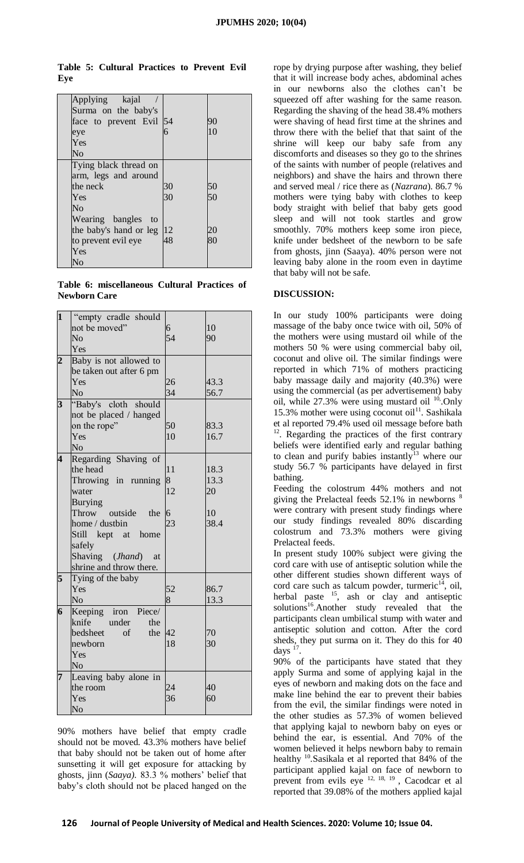**Table 5: Cultural Practices to Prevent Evil Eye**

| Applying kajal               |    |    |
|------------------------------|----|----|
| Surma on the baby's          |    |    |
| face to prevent Evil 54      |    | 90 |
| eye                          | 6  | 10 |
| Yes                          |    |    |
| N <sub>o</sub>               |    |    |
| Tying black thread on        |    |    |
| arm, legs and around         |    |    |
| the neck                     | 30 | 50 |
| Yes                          | 30 | 50 |
| N <sub>0</sub>               |    |    |
| Wearing bangles to           |    |    |
| the baby's hand or leg $ 12$ |    | 20 |
| to prevent evil eye          | 48 | 80 |
| Yes                          |    |    |
| No                           |    |    |

**Table 6: miscellaneous Cultural Practices of Newborn Care**

| $\mathbf{1}$            | "empty cradle should        |                |      |
|-------------------------|-----------------------------|----------------|------|
|                         | not be moved"               | 6              | 10   |
|                         | No                          | 54             | 90   |
|                         | Yes                         |                |      |
| $\overline{2}$          | Baby is not allowed to      |                |      |
|                         | be taken out after 6 pm     |                |      |
|                         | Yes                         | 26             | 43.3 |
|                         | No                          | 34             | 56.7 |
| $\overline{\mathbf{3}}$ | "Baby's cloth should        |                |      |
|                         | not be placed / hanged      |                |      |
|                         | on the rope"                | 50             | 83.3 |
|                         | Yes                         | 10             | 16.7 |
|                         | No                          |                |      |
| $\overline{\mathbf{4}}$ | Regarding Shaving of        |                |      |
|                         | the head                    | 11             | 18.3 |
|                         | Throwing in running         | 8              | 13.3 |
|                         | water                       | 12             | 20   |
|                         | <b>Burying</b>              |                |      |
|                         | Throw<br>outside the        | $\overline{6}$ | 10   |
|                         | home / dustbin              | 23             | 38.4 |
|                         | Still kept at home          |                |      |
|                         | safely                      |                |      |
|                         | Shaving ( <i>Jhand</i> ) at |                |      |
|                         | shrine and throw there.     |                |      |
| 5                       | Tying of the baby           |                |      |
|                         | Yes                         | 52             | 86.7 |
|                         | No                          | 8              | 13.3 |
| 6                       | Keeping iron Piece/         |                |      |
|                         | knife<br>under<br>the       |                |      |
|                         | bedsheet<br>of<br>the       | 42             | 70   |
|                         | newborn                     | 18             | 30   |
|                         | Yes                         |                |      |
|                         | No                          |                |      |
| 7                       | Leaving baby alone in       |                |      |
|                         | the room                    | 24             | 40   |
|                         | Yes                         | 36             | 60   |
|                         | No                          |                |      |

90% mothers have belief that empty cradle should not be moved. 43.3% mothers have belief that baby should not be taken out of home after sunsetting it will get exposure for attacking by ghosts, jinn (*Saaya).* 83.3 % mothers' belief that baby's cloth should not be placed hanged on the rope by drying purpose after washing, they belief that it will increase body aches, abdominal aches in our newborns also the clothes can't be squeezed off after washing for the same reason. Regarding the shaving of the head 38.4% mothers were shaving of head first time at the shrines and throw there with the belief that that saint of the shrine will keep our baby safe from any discomforts and diseases so they go to the shrines of the saints with number of people (relatives and neighbors) and shave the hairs and thrown there and served meal / rice there as (*Nazrana*). 86.7 % mothers were tying baby with clothes to keep body straight with belief that baby gets good sleep and will not took startles and grow smoothly. 70% mothers keep some iron piece, knife under bedsheet of the newborn to be safe from ghosts, jinn (Saaya). 40% person were not leaving baby alone in the room even in daytime that baby will not be safe.

#### **DISCUSSION:**

In our study 100% participants were doing massage of the baby once twice with oil, 50% of the mothers were using mustard oil while of the mothers 50 % were using commercial baby oil, coconut and olive oil. The similar findings were reported in which 71% of mothers practicing baby massage daily and majority (40.3%) were using the commercial (as per advertisement) baby oil, while  $27.3\%$  were using mustard oil  $^{10}$ . Only 15.3% mother were using coconut oil<sup>11</sup>. Sashikala et al reported 79.4% used oil message before bath  $12$ . Regarding the practices of the first contrary beliefs were identified early and regular bathing to clean and purify babies instantly<sup>13</sup> where our study 56.7 % participants have delayed in first bathing.

Feeding the colostrum 44% mothers and not giving the Prelacteal feeds 52.1% in newborns <sup>8</sup> were contrary with present study findings where our study findings revealed 80% discarding colostrum and 73.3% mothers were giving Prelacteal feeds.

In present study 100% subject were giving the cord care with use of antiseptic solution while the other different studies shown different ways of cord care such as talcum powder, turmeric $14$ , oil, herbal paste  $15$ , ash or clay and antiseptic solutions<sup>16</sup>.Another study revealed that the participants clean umbilical stump with water and antiseptic solution and cotton. After the cord sheds, they put surma on it. They do this for 40 days  $17$ .

90% of the participants have stated that they apply Surma and some of applying kajal in the eyes of newborn and making dots on the face and make line behind the ear to prevent their babies from the evil, the similar findings were noted in the other studies as 57.3% of women believed that applying kajal to newborn baby on eyes or behind the ear, is essential. And 70% of the women believed it helps newborn baby to remain healthy <sup>10</sup>. Sasikala et al reported that 84% of the participant applied kajal on face of newborn to prevent from evils eye <sup>12, 18, 19</sup>, Cacodcar et al reported that 39.08% of the mothers applied kajal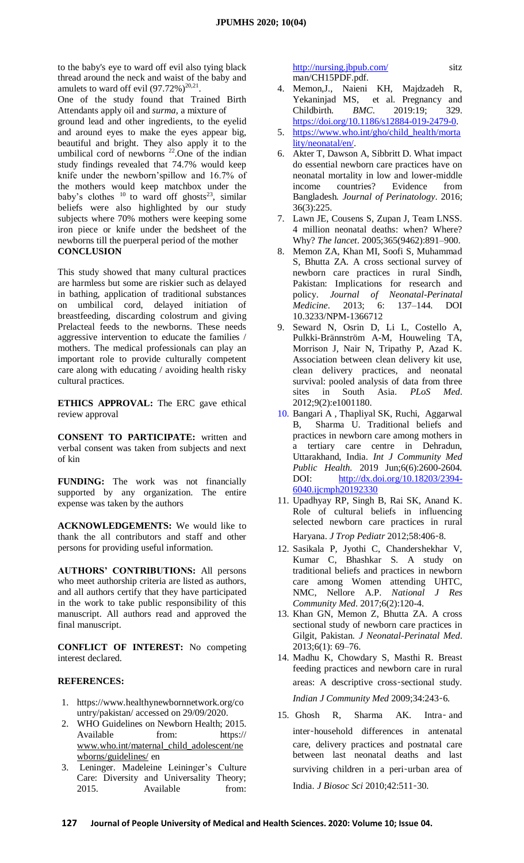to the baby's eye to ward off evil also tying black thread around the neck and waist of the baby and amulets to ward off evil  $(97.72\%)^{20,21}$ .

One of the study found that Trained Birth Attendants apply oil and *surma*, a mixture of ground lead and other ingredients, to the eyelid and around eyes to make the eyes appear big, beautiful and bright. They also apply it to the umbilical cord of newborns  $22$ . One of the indian study findings revealed that 74.7% would keep knife under the newborn'spillow and 16.7% of the mothers would keep matchbox under the baby's clothes  $10$  to ward off ghosts<sup>23</sup>, similar beliefs were also highlighted by our study subjects where 70% mothers were keeping some iron piece or knife under the bedsheet of the newborns till the puerperal period of the mother **CONCLUSION**

This study showed that many cultural practices are harmless but some are riskier such as delayed in bathing, application of traditional substances on umbilical cord, delayed initiation of breastfeeding, discarding colostrum and giving Prelacteal feeds to the newborns. These needs aggressive intervention to educate the families / mothers. The medical professionals can play an important role to provide culturally competent care along with educating / avoiding health risky cultural practices.

**ETHICS APPROVAL:** The ERC gave ethical review approval

**CONSENT TO PARTICIPATE:** written and verbal consent was taken from subjects and next of kin

**FUNDING:** The work was not financially supported by any organization. The entire expense was taken by the authors

**ACKNOWLEDGEMENTS:** We would like to thank the all contributors and staff and other persons for providing useful information.

**AUTHORS' CONTRIBUTIONS:** All persons who meet authorship criteria are listed as authors, and all authors certify that they have participated in the work to take public responsibility of this manuscript. All authors read and approved the final manuscript.

**CONFLICT OF INTEREST:** No competing interest declared.

### **REFERENCES:**

- 1. https://www.healthynewbornnetwork.org/co untry/pakistan/ accessed on 29/09/2020.
- 2. WHO Guidelines on Newborn Health; 2015. Available from: https:// [www.who.int/maternal\\_child\\_adolescent/ne](http://www.who.int/maternal_child_adolescent/newborns/guidelines/) [wborns/guidelines/](http://www.who.int/maternal_child_adolescent/newborns/guidelines/) en
- Leninger. Madeleine Leininger's Culture Care: Diversity and Universality Theory; 2015. Available from:

<http://nursing.jbpub.com/> sitz man/CH15PDF.pdf.

- 4. Memon,J., Naieni KH, Majdzadeh R, Yekaninjad MS, et al. Pregnancy and Childbirth. *BMC*. 2019:19; 329. [https://doi.org/10.1186/s12884-019-2479-0.](https://doi.org/10.1186/s12884-019-2479-0)
- 5. [https://www.who.int/gho/child\\_health/morta](https://www.who.int/gho/child_health/mortality/neonatal/en/) [lity/neonatal/en/.](https://www.who.int/gho/child_health/mortality/neonatal/en/)
- 6. Akter T, Dawson A, Sibbritt D. What impact do essential newborn care practices have on neonatal mortality in low and lower-middle income countries? Evidence from Bangladesh*. Journal of Perinatology*. 2016; 36(3):225.
- 7. Lawn JE, Cousens S, Zupan J, Team LNSS. 4 million neonatal deaths: when? Where? Why? *The lancet*. 2005;365(9462):891–900.
- 8. Memon ZA, Khan MI, Soofi S, Muhammad S, Bhutta ZA. A cross sectional survey of newborn care practices in rural Sindh, Pakistan: Implications for research and policy. *Journal of Neonatal-Perinatal Medicine*. 2013; 6: 137–144. DOI 10.3233/NPM-1366712
- 9. Seward N, Osrin D, Li L, Costello A, Pulkki-Brännström A-M, Houweling TA, Morrison J, Nair N, Tripathy P, Azad K. Association between clean delivery kit use, clean delivery practices, and neonatal survival: pooled analysis of data from three sites in South Asia. *PLoS Med*. 2012;9(2):e1001180.
- 10. Bangari A , Thapliyal SK, Ruchi, Aggarwal B, Sharma U. Traditional beliefs and practices in newborn care among mothers in a tertiary care centre in Dehradun, Uttarakhand, India. *Int J Community Med Public Health.* 2019 Jun;6(6):2600-2604*.*  DOI: [http://dx.doi.org/10.18203/2394-](http://dx.doi.org/10.18203/2394-6040.ijcmph20192330) [6040.ijcmph20192330](http://dx.doi.org/10.18203/2394-6040.ijcmph20192330)
- 11. Upadhyay RP, Singh B, Rai SK, Anand K. Role of cultural beliefs in influencing selected newborn care practices in rural Haryana. *J Trop Pediatr* 2012;58:406‑8.
- 12. Sasikala P, Jyothi C, Chandershekhar V, Kumar C, Bhashkar S. A study on traditional beliefs and practices in newborn care among Women attending UHTC, NMC, Nellore A.P. *National J Res Community Med*. 2017;6(2):120-4.
- 13. Khan GN, Memon Z, Bhutta ZA. A cross sectional study of newborn care practices in Gilgit, Pakistan. *J Neonatal-Perinatal Med*. 2013;6(1): 69–76.
- 14. Madhu K, Chowdary S, Masthi R. Breast feeding practices and newborn care in rural areas: A descriptive cross‑sectional study. *Indian J Community Med* 2009;34:243‑6.
- 15. Ghosh R, Sharma AK. Intra‑ and inter‑household differences in antenatal care, delivery practices and postnatal care between last neonatal deaths and last surviving children in a peri-urban area of India. *J Biosoc Sci* 2010;42:511‑30.